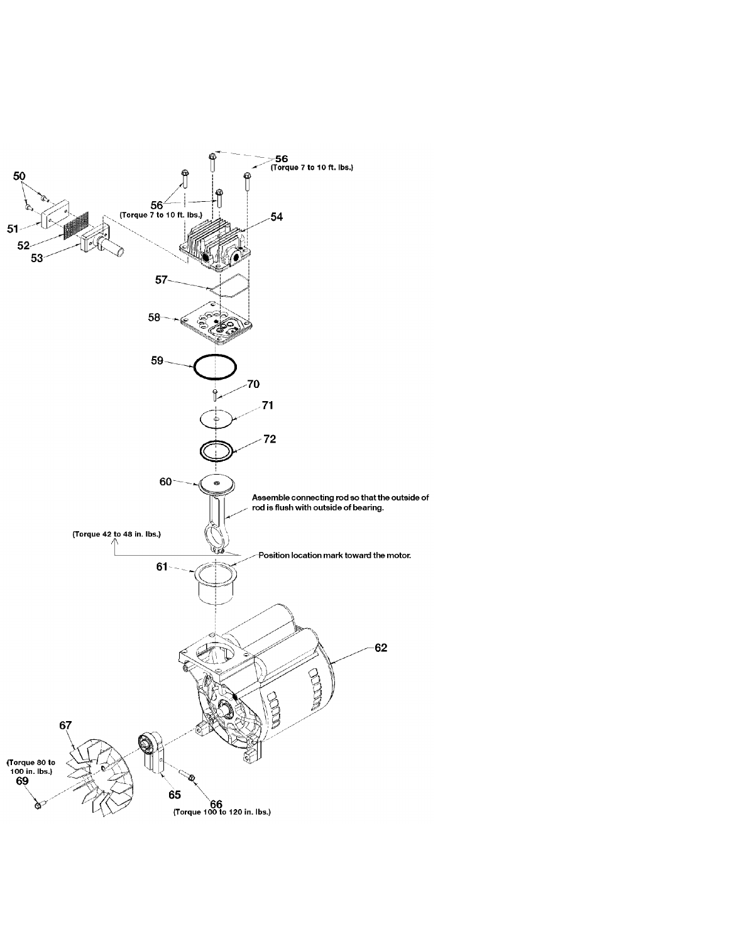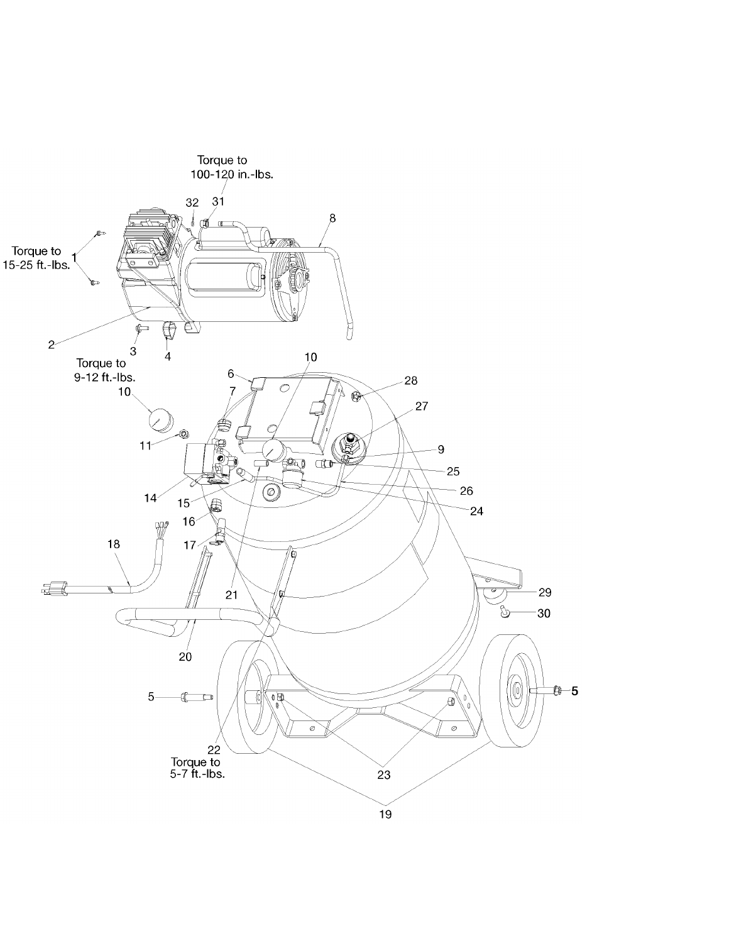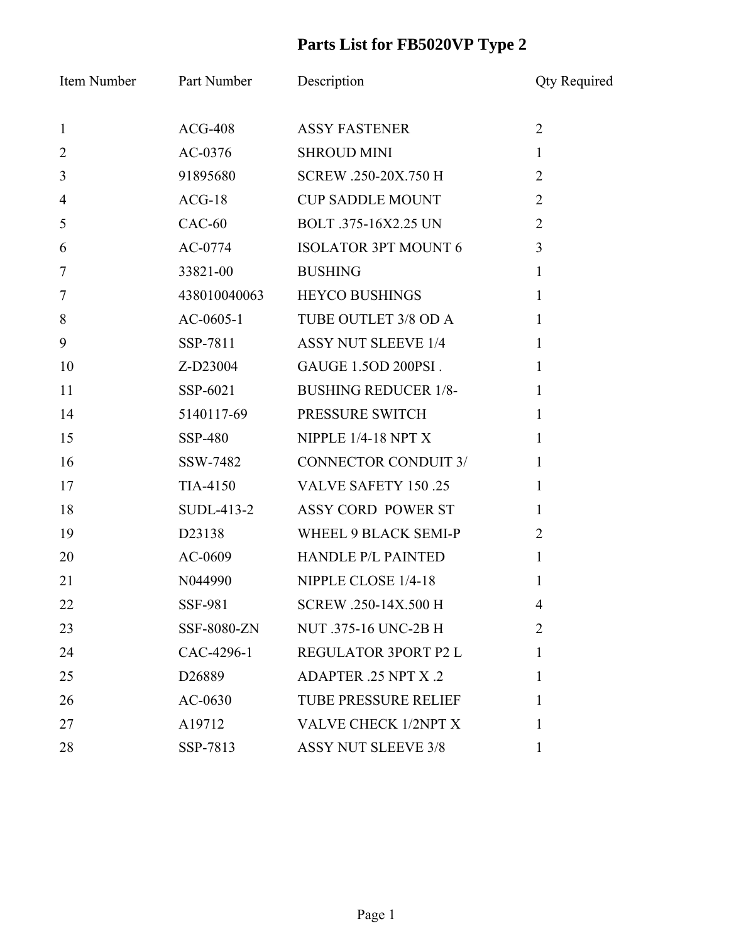## **Parts List for FB5020VP Type 2**

| Item Number    | Part Number        | Description                 | <b>Qty Required</b> |
|----------------|--------------------|-----------------------------|---------------------|
| $\mathbf{1}$   | $ACG-408$          | <b>ASSY FASTENER</b>        | $\overline{2}$      |
| $\overline{2}$ | AC-0376            | <b>SHROUD MINI</b>          | $\mathbf{1}$        |
| $\mathfrak{Z}$ | 91895680           | SCREW .250-20X.750 H        | $\overline{2}$      |
| $\overline{4}$ | $ACG-18$           | <b>CUP SADDLE MOUNT</b>     | $\overline{2}$      |
| 5              | $CAC-60$           | BOLT .375-16X2.25 UN        | $\overline{2}$      |
| 6              | AC-0774            | <b>ISOLATOR 3PT MOUNT 6</b> | $\overline{3}$      |
| $\tau$         | 33821-00           | <b>BUSHING</b>              | $\mathbf{1}$        |
| $\overline{7}$ | 438010040063       | <b>HEYCO BUSHINGS</b>       | $\mathbf{1}$        |
| 8              | $AC-0605-1$        | TUBE OUTLET 3/8 OD A        | $\mathbf{1}$        |
| 9              | SSP-7811           | <b>ASSY NUT SLEEVE 1/4</b>  | 1                   |
| 10             | Z-D23004           | GAUGE 1.5OD 200PSI.         | $\mathbf{1}$        |
| 11             | SSP-6021           | <b>BUSHING REDUCER 1/8-</b> | 1                   |
| 14             | 5140117-69         | PRESSURE SWITCH             | $\mathbf{1}$        |
| 15             | SSP-480            | NIPPLE $1/4-18$ NPT X       | $\mathbf{1}$        |
| 16             | SSW-7482           | <b>CONNECTOR CONDUIT 3/</b> | 1                   |
| 17             | TIA-4150           | <b>VALVE SAFETY 150.25</b>  | 1                   |
| 18             | $SUBL-413-2$       | ASSY CORD POWER ST          | $\mathbf{1}$        |
| 19             | D23138             | WHEEL 9 BLACK SEMI-P        | $\overline{2}$      |
| 20             | AC-0609            | HANDLE P/L PAINTED          | $\mathbf{1}$        |
| 21             | N044990            | NIPPLE CLOSE 1/4-18         | 1                   |
| 22             | SSF-981            | SCREW .250-14X.500 H        | $\overline{4}$      |
| 23             | SSF-8080-ZN        | NUT .375-16 UNC-2B H        | $\overline{2}$      |
| 24             | CAC-4296-1         | REGULATOR 3PORT P2 L        | 1                   |
| 25             | D <sub>26889</sub> | <b>ADAPTER 25 NPT X 2</b>   | 1                   |
| 26             | $AC-0630$          | <b>TUBE PRESSURE RELIEF</b> | 1                   |
| 27             | A19712             | VALVE CHECK 1/2NPT X        | 1                   |
| 28             | SSP-7813           | <b>ASSY NUT SLEEVE 3/8</b>  | 1                   |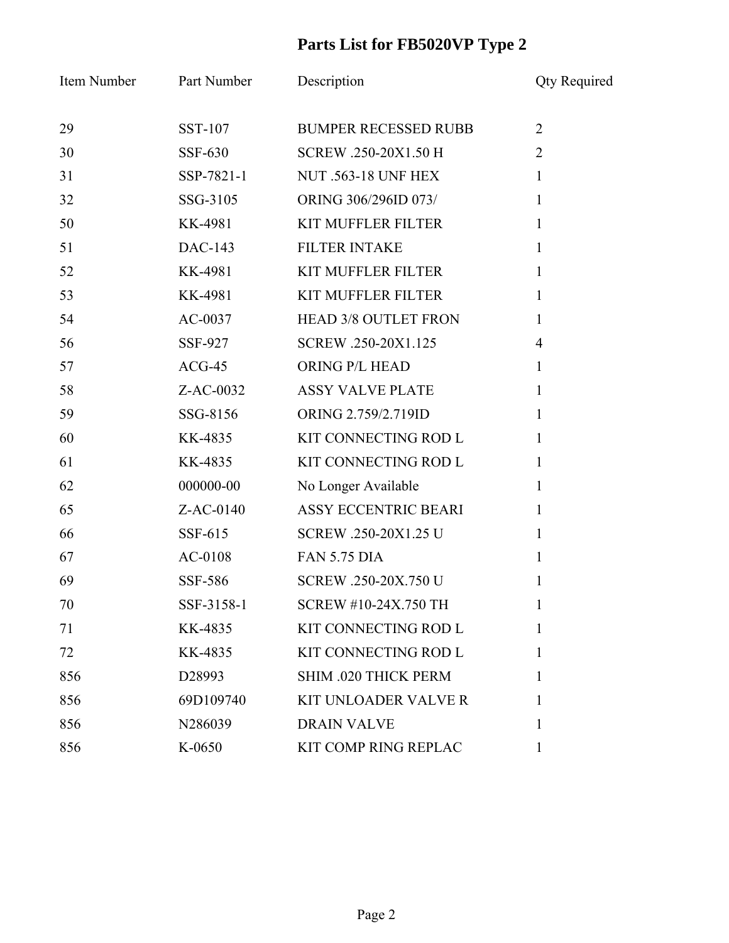## **Parts List for FB5020VP Type 2**

| Item Number | Part Number    | Description                 | <b>Qty Required</b> |
|-------------|----------------|-----------------------------|---------------------|
| 29          | <b>SST-107</b> | <b>BUMPER RECESSED RUBB</b> | $\overline{2}$      |
| 30          | SSF-630        | SCREW .250-20X1.50 H        | $\overline{2}$      |
| 31          | SSP-7821-1     | <b>NUT .563-18 UNF HEX</b>  | $\mathbf{1}$        |
| 32          | SSG-3105       | ORING 306/296ID 073/        | $\mathbf{1}$        |
| 50          | KK-4981        | <b>KIT MUFFLER FILTER</b>   | $\mathbf{1}$        |
| 51          | DAC-143        | <b>FILTER INTAKE</b>        | 1                   |
| 52          | KK-4981        | <b>KIT MUFFLER FILTER</b>   | $\mathbf{1}$        |
| 53          | KK-4981        | <b>KIT MUFFLER FILTER</b>   | $\mathbf{1}$        |
| 54          | $AC-0037$      | HEAD 3/8 OUTLET FRON        | $\mathbf{1}$        |
| 56          | SSF-927        | SCREW .250-20X1.125         | $\overline{4}$      |
| 57          | $ACG-45$       | ORING P/L HEAD              | $\mathbf{1}$        |
| 58          | $Z$ -AC-0032   | <b>ASSY VALVE PLATE</b>     | 1                   |
| 59          | SSG-8156       | ORING 2.759/2.719ID         | $\mathbf{1}$        |
| 60          | KK-4835        | KIT CONNECTING ROD L        | $\mathbf{1}$        |
| 61          | KK-4835        | KIT CONNECTING ROD L        | 1                   |
| 62          | 000000-00      | No Longer Available         | $\mathbf{1}$        |
| 65          | Z-AC-0140      | <b>ASSY ECCENTRIC BEARI</b> | $\mathbf{1}$        |
| 66          | SSF-615        | SCREW .250-20X1.25 U        | 1                   |
| 67          | AC-0108        | <b>FAN 5.75 DIA</b>         | 1                   |
| 69          | SSF-586        | SCREW .250-20X.750 U        | 1                   |
| 70          | SSF-3158-1     | <b>SCREW #10-24X.750 TH</b> |                     |
| 71          | KK-4835        | KIT CONNECTING ROD L        | 1                   |
| 72          | KK-4835        | KIT CONNECTING ROD L        | 1                   |
| 856         | D28993         | SHIM .020 THICK PERM        | 1                   |
| 856         | 69D109740      | <b>KIT UNLOADER VALVE R</b> | 1                   |
| 856         | N286039        | <b>DRAIN VALVE</b>          | 1                   |
| 856         | K-0650         | KIT COMP RING REPLAC        | 1                   |